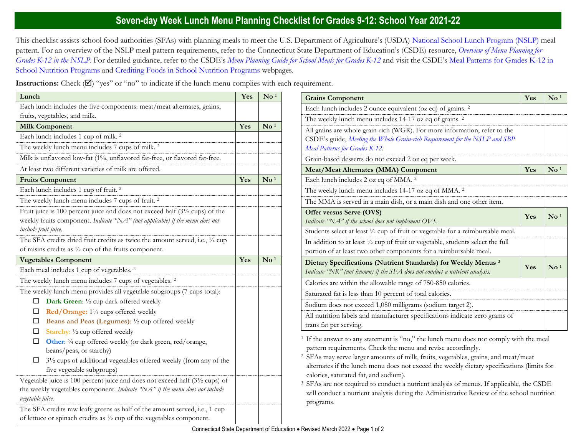## **Seven-day Week Lunch Menu Planning Checklist for Grades 9-12: School Year 2021-22**

This checklist assists school food authorities (SFAs) with planning meals to meet the U.S. Department of Agriculture's (USDA) [National School Lunch Program \(NSLP\)](https://portal.ct.gov/SDE/Nutrition/National-School-Lunch-Program) meal pattern. For an overview of the NSLP meal pattern requirements, refer to the Connecticut State Department of Education's (CSDE) resource, *[Overview of Menu Planning for](https://portal.ct.gov/-/media/SDE/Nutrition/NSLP/MealPattern/Overview_Menu_Planning_NSLP_grades_K-12.pdf)  [Grades K-12 in the NSLP](https://portal.ct.gov/-/media/SDE/Nutrition/NSLP/MealPattern/Overview_Menu_Planning_NSLP_grades_K-12.pdf)*. For detailed guidance, refer to the CSDE's *[Menu Planning Guide for School Meals for Grades K-12](https://portal.ct.gov/SDE/Nutrition/Menu-Planning-Guide-for-School-Meals)* and visit the CSDE's [Meal Patterns for Grades K-12 in](https://portal.ct.gov/SDE/Nutrition/Meal-Patterns-School-Nutrition-Programs)  [School Nutrition Programs](https://portal.ct.gov/SDE/Nutrition/Meal-Patterns-School-Nutrition-Programs) and [Crediting Foods in School Nutrition Programs](https://portal.ct.gov/SDE/Nutrition/Crediting-Foods-in-School-Nutrition-Programs) webpages*.*

**Instructions:** Check  $(\mathbb{Z})$  "yes" or "no" to indicate if the lunch menu complies with each requirement.

| Lunch                                                                                                                                                                                                                                                                      | Yes | $\mathbf{N}\mathbf{o}$ <sup>1</sup> |
|----------------------------------------------------------------------------------------------------------------------------------------------------------------------------------------------------------------------------------------------------------------------------|-----|-------------------------------------|
| Each lunch includes the five components: meat/meat alternates, grains,                                                                                                                                                                                                     |     |                                     |
| fruits, vegetables, and milk.                                                                                                                                                                                                                                              |     |                                     |
| <b>Milk Component</b>                                                                                                                                                                                                                                                      | Yes | $\mathbf{N}\mathbf{o}$ <sup>1</sup> |
| Each lunch includes 1 cup of milk. <sup>2</sup>                                                                                                                                                                                                                            |     |                                     |
| The weekly lunch menu includes 7 cups of milk. <sup>2</sup>                                                                                                                                                                                                                |     |                                     |
| Milk is unflavored low-fat (1%, unflavored fat-free, or flavored fat-free.                                                                                                                                                                                                 |     |                                     |
| At least two different varieties of milk are offered.                                                                                                                                                                                                                      |     |                                     |
| <b>Fruits Component</b>                                                                                                                                                                                                                                                    | Yes | $\mathbf{N}\mathbf{o}$ <sup>1</sup> |
| Each lunch includes 1 cup of fruit. <sup>2</sup>                                                                                                                                                                                                                           |     |                                     |
| The weekly lunch menu includes 7 cups of fruit. <sup>2</sup>                                                                                                                                                                                                               |     |                                     |
| Fruit juice is 100 percent juice and does not exceed half $(3\frac{1}{2}$ cups) of the<br>weekly fruits component. Indicate "NA" (not applicable) if the menu does not<br>include fruit juice.                                                                             |     |                                     |
| The SFA credits dried fruit credits as twice the amount served, i.e., 1/4 cup                                                                                                                                                                                              |     |                                     |
| of raisins credits as $\frac{1}{2}$ cup of the fruits component.                                                                                                                                                                                                           |     |                                     |
| <b>Vegetables Component</b>                                                                                                                                                                                                                                                | Yes | $\mathbf{N}\mathbf{o}$ <sup>1</sup> |
| Each meal includes 1 cup of vegetables. <sup>2</sup>                                                                                                                                                                                                                       |     |                                     |
|                                                                                                                                                                                                                                                                            |     |                                     |
| The weekly lunch menu includes 7 cups of vegetables. <sup>2</sup>                                                                                                                                                                                                          |     |                                     |
| The weekly lunch menu provides all vegetable subgroups (7 cups total):                                                                                                                                                                                                     |     |                                     |
| Dark Green: 1/2 cup dark offered weekly<br>□                                                                                                                                                                                                                               |     |                                     |
| Red/Orange: 11/4 cups offered weekly<br>□                                                                                                                                                                                                                                  |     |                                     |
| Beans and Peas (Legumes): 1/2 cup offered weekly<br>□                                                                                                                                                                                                                      |     |                                     |
| Starchy: 1/2 cup offered weekly<br>□                                                                                                                                                                                                                                       |     |                                     |
| Other: 3/4 cup offered weekly (or dark green, red/orange,<br>□                                                                                                                                                                                                             |     |                                     |
| beans/peas, or starchy)<br>$3\frac{1}{2}$ cups of additional vegetables offered weekly (from any of the<br>□<br>five vegetable subgroups)                                                                                                                                  |     |                                     |
| Vegetable juice is 100 percent juice and does not exceed half (3 <sup>1</sup> /2 cups) of<br>the weekly vegetables component. Indicate "NA" if the menu does not include<br>vegetable juice.<br>The SFA credits raw leafy greens as half of the amount served, i.e., 1 cup |     |                                     |

| <b>Grains Component</b>                                                                                                                                                                    | Yes | $\mathbf{N}\mathbf{o}$ <sup>1</sup> |
|--------------------------------------------------------------------------------------------------------------------------------------------------------------------------------------------|-----|-------------------------------------|
| Each lunch includes 2 ounce equivalent (oz eq) of grains. <sup>2</sup>                                                                                                                     |     |                                     |
| The weekly lunch menu includes 14-17 oz eq of grains. <sup>2</sup>                                                                                                                         |     |                                     |
| All grains are whole grain-rich (WGR). For more information, refer to the<br>CSDE's guide, Meeting the Whole Grain-rich Requirement for the NSLP and SBP<br>Meal Patterns for Grades K-12. |     |                                     |
| Grain-based desserts do not exceed 2 oz eq per week.                                                                                                                                       |     |                                     |
| <b>Meat/Meat Alternates (MMA) Component</b>                                                                                                                                                | Yes | $\mathrm{No}$ <sup>1</sup>          |
| Each lunch includes 2 oz eq of MMA. <sup>2</sup>                                                                                                                                           |     |                                     |
| The weekly lunch menu includes 14-17 oz eq of MMA. <sup>2</sup>                                                                                                                            |     |                                     |
| The MMA is served in a main dish, or a main dish and one other item.                                                                                                                       |     |                                     |
| Offer versus Serve (OVS)<br>Indicate "NA" if the school does not implement OVS.                                                                                                            | Yes | $\mathbf{N}\mathbf{o}$ <sup>1</sup> |
| Students select at least 1/2 cup of fruit or vegetable for a reimbursable meal.                                                                                                            |     |                                     |
| In addition to at least $\frac{1}{2}$ cup of fruit or vegetable, students select the full<br>portion of at least two other components for a reimbursable meal.                             |     |                                     |
| Dietary Specifications (Nutrient Standards) for Weekly Menus <sup>3</sup><br>Indicate "NK" (not known) if the SFA does not conduct a nutrient analysis.                                    | Yes | $\mathrm{No}$ <sup>1</sup>          |
| Calories are within the allowable range of 750-850 calories.                                                                                                                               |     |                                     |
| Saturated fat is less than 10 percent of total calories.                                                                                                                                   |     |                                     |
| Sodium does not exceed 1,080 milligrams (sodium target 2).                                                                                                                                 |     |                                     |
| All nutrition labels and manufacturer specifications indicate zero grams of<br>trans fat per serving.                                                                                      |     |                                     |

<sup>1</sup> If the answer to any statement is "no," the lunch menu does not comply with the meal pattern requirements. Check the menu and revise accordingly.

<sup>2</sup>SFAs may serve larger amounts of milk, fruits, vegetables, grains, and meat/meat alternates if the lunch menu does not exceed the weekly dietary specifications (limits for calories, saturated fat, and sodium).

<sup>3</sup> SFAs are not required to conduct a nutrient analysis of menus. If applicable, the CSDE will conduct a nutrient analysis during the Administrative Review of the school nutrition programs.